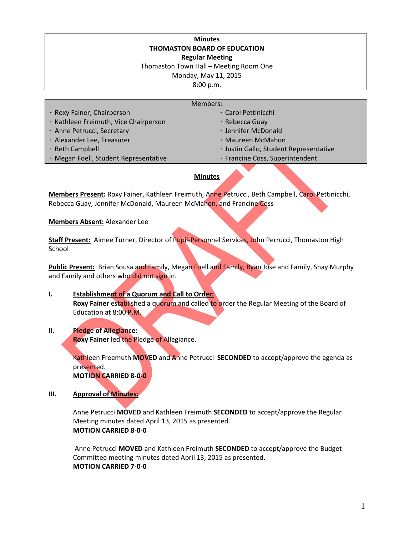#### **Minutes THOMASTON BOARD OF EDUCATION Regular Meeting**

Thomaston Town Hall – Meeting Room One

Monday, May 11, 2015

8:00 p.m.

| Members:                              |                                        |
|---------------------------------------|----------------------------------------|
| · Roxy Fainer, Chairperson            | · Carol Pettinicchi                    |
| · Kathleen Freimuth, Vice Chairperson | · Rebecca Guay                         |
| · Anne Petrucci, Secretary            | · Jennifer McDonald                    |
| · Alexander Lee, Treasurer            | · Maureen McMahon                      |
| · Beth Campbell                       | · Justin Gallo, Student Representative |
| · Megan Foell, Student Representative | · Francine Coss, Superintendent        |
|                                       |                                        |

### **Minutes**

**Members Present:** Roxy Fainer, Kathleen Freimuth, Anne Petrucci, Beth Campbell, Carol Pettinicchi, Rebecca Guay, Jennifer McDonald, Maureen McMahon, and Francine Coss

**Members Absent:** Alexander Lee

**Staff Present:** Aimee Turner, Director of Pupil-Personnel Services, John Perrucci, Thomaston High School

Public Present: Brian Sousa and Family, Megan Foell and Family, Ryan Jose and Family, Shay Murphy and Family and others who did not sign in.

### **I. Establishment of a Quorum and Call to Order: Roxy Fainer** established a quorum and called to order the Regular Meeting of the Board of Education at 8:00 P.M.

## **II. Pledge of Allegiance:**

**Roxy Fainer** led the Pledge of Allegiance.

Kathleen Freemuth **MOVED** and Anne Petrucci **SECONDED** to accept/approve the agenda as presented.

**MOTION CARRIED 8-0-0**

**III. Approval of Minutes:**

Anne Petrucci **MOVED** and Kathleen Freimuth **SECONDED** to accept/approve the Regular Meeting minutes dated April 13, 2015 as presented. **MOTION CARRIED 8-0-0**

Anne Petrucci **MOVED** and Kathleen Freimuth **SECONDED** to accept/approve the Budget Committee meeting minutes dated April 13, 2015 as presented. **MOTION CARRIED 7-0-0**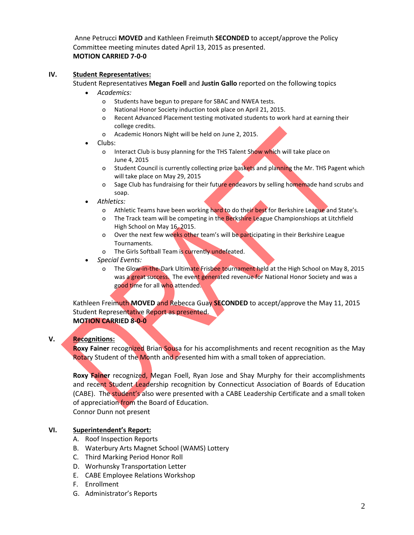Anne Petrucci **MOVED** and Kathleen Freimuth **SECONDED** to accept/approve the Policy Committee meeting minutes dated April 13, 2015 as presented. **MOTION CARRIED 7-0-0**

### **IV. Student Representatives:**

Student Representatives **Megan Foell** and **Justin Gallo** reported on the following topics

- *Academics:*
	- o Students have begun to prepare for SBAC and NWEA tests.
	- o National Honor Society induction took place on April 21, 2015.
	- o Recent Advanced Placement testing motivated students to work hard at earning their college credits.
	- o Academic Honors Night will be held on June 2, 2015.
- Clubs:
	- o Interact Club is busy planning for the THS Talent Show which will take place on June 4, 2015
	- o Student Council is currently collecting prize baskets and planning the Mr. THS Pagent which will take place on May 29, 2015
	- o Sage Club has fundraising for their future endeavors by selling homemade hand scrubs and soap.
- *Athletics:*
	- o Athletic Teams have been working hard to do their best for Berkshire League and State's.
	- o The Track team will be competing in the Berkshire League Championshiops at Litchfield High School on May 16, 2015.
	- o Over the next few weeks other team's will be participating in their Berkshire League Tournaments.
	- o The Girls Softball Team is currently undefeated.
- *Special Events:*
	- o The Glow-in-the-Dark Ultimate Frisbee tournament held at the High School on May 8, 2015 was a great success. The event generated revenue for National Honor Society and was a good time for all who attended.

Kathleen Freimuth **MOVED** and Rebecca Guay **SECONDED** to accept/approve the May 11, 2015 Student Representative Report as presented. **MOTION CARRIED 8-0-0**

## **V. Recognitions:**

**Roxy Fainer** recognized Brian Sousa for his accomplishments and recent recognition as the May Rotary Student of the Month and presented him with a small token of appreciation.

**Roxy Fainer** recognized, Megan Foell, Ryan Jose and Shay Murphy for their accomplishments and recent Student Leadership recognition by Connecticut Association of Boards of Education (CABE). The student's also were presented with a CABE Leadership Certificate and a small token of appreciation from the Board of Education.

Connor Dunn not present

## **VI. Superintendent's Report:**

- A. Roof Inspection Reports
- B. Waterbury Arts Magnet School (WAMS) Lottery
- C. Third Marking Period Honor Roll
- D. Worhunsky Transportation Letter
- E. CABE Employee Relations Workshop
- F. Enrollment
- G. Administrator's Reports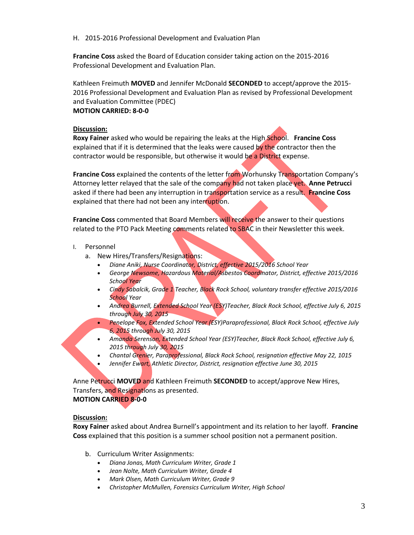H. 2015-2016 Professional Development and Evaluation Plan

**Francine Coss** asked the Board of Education consider taking action on the 2015-2016 Professional Development and Evaluation Plan.

Kathleen Freimuth **MOVED** and Jennifer McDonald **SECONDED** to accept/approve the 2015- 2016 Professional Development and Evaluation Plan as revised by Professional Development and Evaluation Committee (PDEC)

## **MOTION CARRIED: 8-0-0**

#### **Discussion:**

**Roxy Fainer** asked who would be repairing the leaks at the High School. **Francine Coss**  explained that if it is determined that the leaks were caused by the contractor then the contractor would be responsible, but otherwise it would be a District expense.

**Francine Coss** explained the contents of the letter from Worhunsky Transportation Company's Attorney letter relayed that the sale of the company had not taken place yet. **Anne Petrucci** asked if there had been any interruption in transportation service as a result. **Francine Coss** explained that there had not been any interruption.

**Francine Coss** commented that Board Members will receive the answer to their questions related to the PTO Pack Meeting comments related to SBAC in their Newsletter this week.

- I. Personnel
	- a. New Hires/Transfers/Resignations:
		- *Diane Aniki, Nurse Coordinator, District, effective 2015/2016 School Year*
		- *George Newsome, Hazardous Material/Asbestos Coordinator, District, effective 2015/2016 School Year*
		- *Cindy Sabalcik, Grade 1 Teacher, Black Rock School, voluntary transfer effective 2015/2016 School Year*
		- *Andrea Burnell, Extended School Year (ESY)Teacher, Black Rock School, effective July 6, 2015 through July 30, 2015*
		- *Penelope Fox, Extended School Year (ESY)Paraprofessional, Black Rock School, effective July 6, 2015 through July 30, 2015*
		- *Amanda Serenson, Extended School Year (ESY)Teacher, Black Rock School, effective July 6, 2015 through July 30, 2015*
		- *Chantal Grenier, Paraprofessional, Black Rock School, resignation effective May 22, 1015*
		- *Jennifer Ewart, Athletic Director, District, resignation effective June 30, 2015*

Anne Petrucci **MOVED** and Kathleen Freimuth **SECONDED** to accept/approve New Hires, Transfers, and Resignations as presented. **MOTION CARRIED 8-0-0**

### **Discussion:**

**Roxy Fainer** asked about Andrea Burnell's appointment and its relation to her layoff. **Francine Coss** explained that this position is a summer school position not a permanent position.

- b. Curriculum Writer Assignments:
	- *Diana Jonas, Math Curriculum Writer, Grade 1*
	- *Jean Nolte, Math Curriculum Writer, Grade 4*
	- *Mark Olsen, Math Curriculum Writer, Grade 9*
	- *Christopher McMullen, Forensics Curriculum Writer, High School*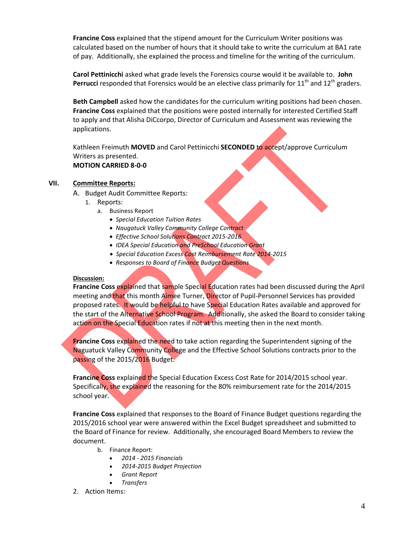**Francine Coss** explained that the stipend amount for the Curriculum Writer positions was calculated based on the number of hours that it should take to write the curriculum at BA1 rate of pay. Additionally, she explained the process and timeline for the writing of the curriculum.

**Carol Pettinicchi** asked what grade levels the Forensics course would it be available to. **John Perrucci** responded that Forensics would be an elective class primarily for  $11<sup>th</sup>$  and  $12<sup>th</sup>$  graders.

**Beth Campbell** asked how the candidates for the curriculum writing positions had been chosen. **Francine Coss** explained that the positions were posted internally for interested Certified Staff to apply and that Alisha DiCcorpo, Director of Curriculum and Assessment was reviewing the applications.

Kathleen Freimuth **MOVED** and Carol Pettinicchi **SECONDED** to accept/approve Curriculum Writers as presented. **MOTION CARRIED 8-0-0**

### **VII. Committee Reports:**

- A. Budget Audit Committee Reports:
	- 1. Reports:
		- a. Business Report
			- *Special Education Tuition Rates*
			- *Naugatuck Valley Community College Contract*
			- *Effective School Solutions Contract 2015-2016*
			- *IDEA Special Education and PreSchool Education Grant*
			- *Special Education Excess Cost Reimbursement Rate 2014-2015*
			- *Responses to Board of Finance Budget Questions*

#### **Discussion:**

**Francine Coss** explained that sample Special Education rates had been discussed during the April meeting and that this month Aimee Turner, Director of Pupil-Personnel Services has provided proposed rates. It would be helpful to have Special Education Rates available and approved for the start of the Alternative School Program. Additionally, she asked the Board to consider taking action on the Special Education rates if not at this meeting then in the next month.

**Francine Coss** explained the need to take action regarding the Superintendent signing of the Naguatuck Valley Community College and the Effective School Solutions contracts prior to the passing of the 2015/2016 Budget.

**Francine Coss** explained the Special Education Excess Cost Rate for 2014/2015 school year. Specifically, she explained the reasoning for the 80% reimbursement rate for the 2014/2015 school year.

**Francine Coss** explained that responses to the Board of Finance Budget questions regarding the 2015/2016 school year were answered within the Excel Budget spreadsheet and submitted to the Board of Finance for review. Additionally, she encouraged Board Members to review the document.

- b. Finance Report:
	- *2014 - 2015 Financials*
	- *2014-2015 Budget Projection*
	- *Grant Report*
- *Transfers*
- 2. Action Items: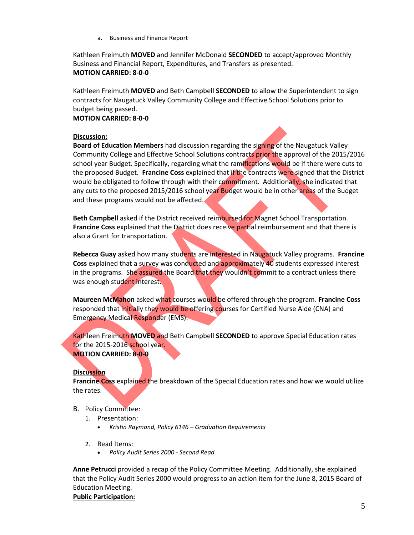a. Business and Finance Report

Kathleen Freimuth **MOVED** and Jennifer McDonald **SECONDED** to accept/approved Monthly Business and Financial Report, Expenditures, and Transfers as presented. **MOTION CARRIED: 8-0-0**

Kathleen Freimuth **MOVED** and Beth Campbell **SECONDED** to allow the Superintendent to sign contracts for Naugatuck Valley Community College and Effective School Solutions prior to budget being passed.

### **MOTION CARRIED: 8-0-0**

#### **Discussion:**

**Board of Education Members** had discussion regarding the signing of the Naugatuck Valley Community College and Effective School Solutions contracts prior the approval of the 2015/2016 school year Budget. Specifically, regarding what the ramifications would be if there were cuts to the proposed Budget. **Francine Coss** explained that if the contracts were signed that the District would be obligated to follow through with their commitment. Additionally, she indicated that any cuts to the proposed 2015/2016 school year Budget would be in other areas of the Budget and these programs would not be affected.

**Beth Campbell** asked if the District received reimbursed for Magnet School Transportation. **Francine Coss** explained that the District does receive partial reimbursement and that there is also a Grant for transportation.

**Rebecca Guay** asked how many students are interested in Naugatuck Valley programs. **Francine Coss** explained that a survey was conducted and approximately 40 students expressed interest in the programs. She assured the Board that they wouldn't commit to a contract unless there was enough student interest.

**Maureen McMahon** asked what courses would be offered through the program. **Francine Coss**  responded that initially they would be offering courses for Certified Nurse Aide (CNA) and Emergency Medical Responder (EMS).

Kathleen Freimuth **MOVED** and Beth Campbell **SECONDED** to approve Special Education rates for the 2015-2016 school year. **MOTION CARRIED: 8-0-0**

### **Discussion**

**Francine Coss** explained the breakdown of the Special Education rates and how we would utilize the rates.

- B. Policy Committee:
	- 1. Presentation:
		- *Kristin Raymond, Policy 6146 – Graduation Requirements*
	- 2. Read Items:
		- *Policy Audit Series 2000 - Second Read*

**Anne Petrucci** provided a recap of the Policy Committee Meeting. Additionally, she explained that the Policy Audit Series 2000 would progress to an action item for the June 8, 2015 Board of Education Meeting.

**Public Participation:**